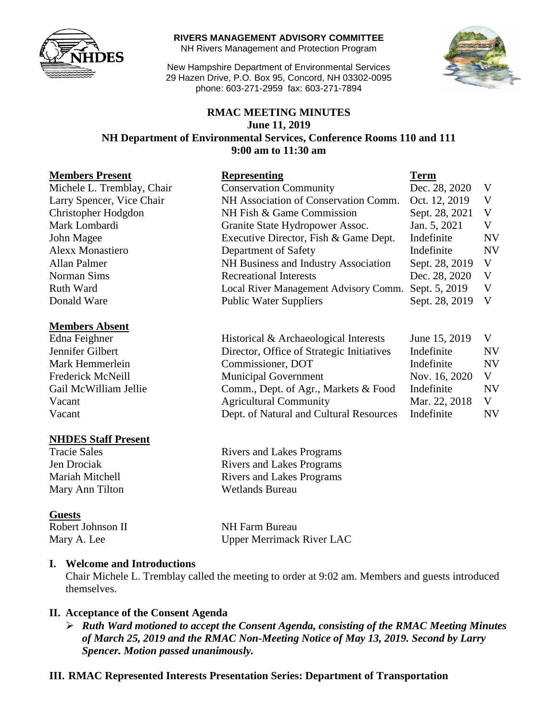

**RIVERS MANAGEMENT ADVISORY COMMITTEE**

NH Rivers Management and Protection Program

New Hampshire Department of Environmental Services 29 Hazen Drive, P.O. Box 95, Concord, NH 03302-0095 phone: 603-271-2959 fax: 603-271-7894



### **RMAC MEETING MINUTES June 11, 2019 NH Department of Environmental Services, Conference Rooms 110 and 111 9:00 am to 11:30 am**

| <b>Members Present</b>     | <b>Representing</b>                       | <b>Term</b>    |           |
|----------------------------|-------------------------------------------|----------------|-----------|
| Michele L. Tremblay, Chair | <b>Conservation Community</b>             | Dec. 28, 2020  | V         |
| Larry Spencer, Vice Chair  | NH Association of Conservation Comm.      | Oct. 12, 2019  | V         |
| Christopher Hodgdon        | NH Fish & Game Commission                 | Sept. 28, 2021 | V         |
| Mark Lombardi              | Granite State Hydropower Assoc.           | Jan. 5, 2021   | V         |
| John Magee                 | Executive Director, Fish & Game Dept.     | Indefinite     | <b>NV</b> |
| <b>Alexx Monastiero</b>    | Department of Safety                      | Indefinite     | <b>NV</b> |
| Allan Palmer               | NH Business and Industry Association      | Sept. 28, 2019 | V         |
| Norman Sims                | <b>Recreational Interests</b>             | Dec. 28, 2020  | V         |
| <b>Ruth Ward</b>           | Local River Management Advisory Comm.     | Sept. 5, 2019  | V         |
| Donald Ware                | <b>Public Water Suppliers</b>             | Sept. 28, 2019 | V         |
| <b>Members Absent</b>      |                                           |                |           |
| Edna Feighner              | Historical & Archaeological Interests     | June 15, 2019  | V         |
| Jennifer Gilbert           | Director, Office of Strategic Initiatives | Indefinite     | <b>NV</b> |
| Mark Hemmerlein            | Commissioner, DOT                         | Indefinite     | <b>NV</b> |
| Frederick McNeill          | <b>Municipal Government</b>               | Nov. 16, 2020  | V         |
| Gail McWilliam Jellie      | Comm., Dept. of Agr., Markets & Food      | Indefinite     | <b>NV</b> |
| Vacant                     | <b>Agricultural Community</b>             | Mar. 22, 2018  | V         |
| Vacant                     | Dept. of Natural and Cultural Resources   | Indefinite     | <b>NV</b> |

#### **NHDES Staff Present**

Mary Ann Tilton Wetlands Bureau

#### **Guests**

Tracie Sales Rivers and Lakes Programs Jen Drociak Rivers and Lakes Programs Mariah Mitchell **Rivers** and Lakes Programs

Robert Johnson II NH Farm Bureau Mary A. Lee Upper Merrimack River LAC

#### **I. Welcome and Introductions**

Chair Michele L. Tremblay called the meeting to order at 9:02 am. Members and guests introduced themselves.

#### **II. Acceptance of the Consent Agenda**

 *Ruth Ward motioned to accept the Consent Agenda, consisting of the RMAC Meeting Minutes of March 25, 2019 and the RMAC Non-Meeting Notice of May 13, 2019. Second by Larry Spencer. Motion passed unanimously.* 

#### **III. RMAC Represented Interests Presentation Series: Department of Transportation**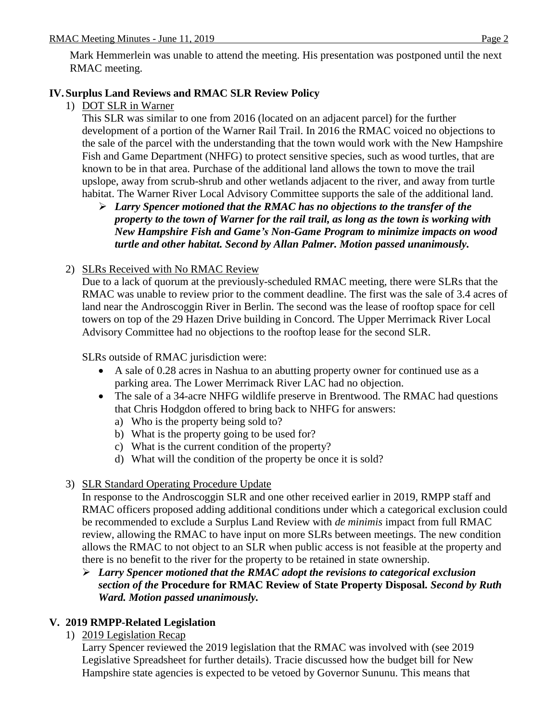Mark Hemmerlein was unable to attend the meeting. His presentation was postponed until the next RMAC meeting.

## **IV. Surplus Land Reviews and RMAC SLR Review Policy**

### 1) DOT SLR in Warner

This SLR was similar to one from 2016 (located on an adjacent parcel) for the further development of a portion of the Warner Rail Trail. In 2016 the RMAC voiced no objections to the sale of the parcel with the understanding that the town would work with the New Hampshire Fish and Game Department (NHFG) to protect sensitive species, such as wood turtles, that are known to be in that area. Purchase of the additional land allows the town to move the trail upslope, away from scrub-shrub and other wetlands adjacent to the river, and away from turtle habitat. The Warner River Local Advisory Committee supports the sale of the additional land.

 *Larry Spencer motioned that the RMAC has no objections to the transfer of the property to the town of Warner for the rail trail, as long as the town is working with New Hampshire Fish and Game's Non-Game Program to minimize impacts on wood turtle and other habitat. Second by Allan Palmer. Motion passed unanimously.* 

### 2) SLRs Received with No RMAC Review

Due to a lack of quorum at the previously-scheduled RMAC meeting, there were SLRs that the RMAC was unable to review prior to the comment deadline. The first was the sale of 3.4 acres of land near the Androscoggin River in Berlin. The second was the lease of rooftop space for cell towers on top of the 29 Hazen Drive building in Concord. The Upper Merrimack River Local Advisory Committee had no objections to the rooftop lease for the second SLR.

SLRs outside of RMAC jurisdiction were:

- A sale of 0.28 acres in Nashua to an abutting property owner for continued use as a parking area. The Lower Merrimack River LAC had no objection.
- The sale of a 34-acre NHFG wildlife preserve in Brentwood. The RMAC had questions that Chris Hodgdon offered to bring back to NHFG for answers:
	- a) Who is the property being sold to?
	- b) What is the property going to be used for?
	- c) What is the current condition of the property?
	- d) What will the condition of the property be once it is sold?

## 3) SLR Standard Operating Procedure Update

In response to the Androscoggin SLR and one other received earlier in 2019, RMPP staff and RMAC officers proposed adding additional conditions under which a categorical exclusion could be recommended to exclude a Surplus Land Review with *de minimis* impact from full RMAC review, allowing the RMAC to have input on more SLRs between meetings. The new condition allows the RMAC to not object to an SLR when public access is not feasible at the property and there is no benefit to the river for the property to be retained in state ownership.

#### *Larry Spencer motioned that the RMAC adopt the revisions to categorical exclusion section of the* **Procedure for RMAC Review of State Property Disposal***. Second by Ruth Ward. Motion passed unanimously.*

## **V. 2019 RMPP-Related Legislation**

1) 2019 Legislation Recap

Larry Spencer reviewed the 2019 legislation that the RMAC was involved with (see 2019 Legislative Spreadsheet for further details). Tracie discussed how the budget bill for New Hampshire state agencies is expected to be vetoed by Governor Sununu. This means that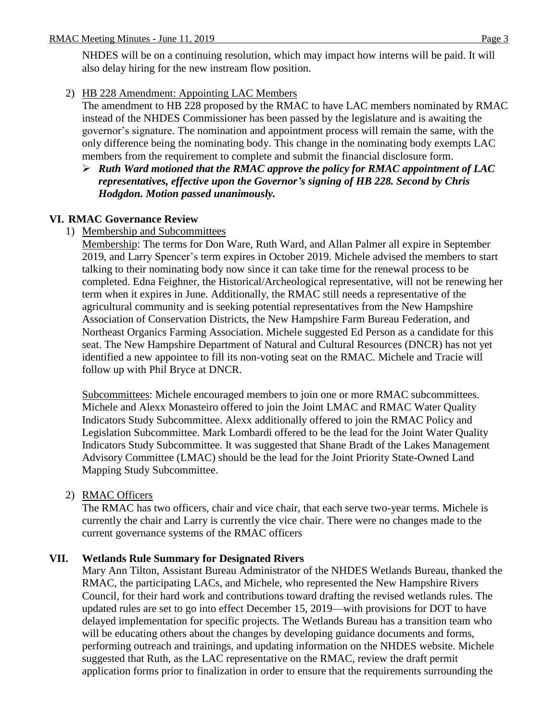NHDES will be on a continuing resolution, which may impact how interns will be paid. It will also delay hiring for the new instream flow position.

2) HB 228 Amendment: Appointing LAC Members

The amendment to HB 228 proposed by the RMAC to have LAC members nominated by RMAC instead of the NHDES Commissioner has been passed by the legislature and is awaiting the governor's signature. The nomination and appointment process will remain the same, with the only difference being the nominating body. This change in the nominating body exempts LAC members from the requirement to complete and submit the financial disclosure form.

 *Ruth Ward motioned that the RMAC approve the policy for RMAC appointment of LAC representatives, effective upon the Governor's signing of HB 228. Second by Chris Hodgdon. Motion passed unanimously.* 

### **VI. RMAC Governance Review**

### 1) Membership and Subcommittees

Membership: The terms for Don Ware, Ruth Ward, and Allan Palmer all expire in September 2019, and Larry Spencer's term expires in October 2019. Michele advised the members to start talking to their nominating body now since it can take time for the renewal process to be completed. Edna Feighner, the Historical/Archeological representative, will not be renewing her term when it expires in June. Additionally, the RMAC still needs a representative of the agricultural community and is seeking potential representatives from the New Hampshire Association of Conservation Districts, the New Hampshire Farm Bureau Federation, and Northeast Organics Farming Association. Michele suggested Ed Person as a candidate for this seat. The New Hampshire Department of Natural and Cultural Resources (DNCR) has not yet identified a new appointee to fill its non-voting seat on the RMAC. Michele and Tracie will follow up with Phil Bryce at DNCR.

Subcommittees: Michele encouraged members to join one or more RMAC subcommittees. Michele and Alexx Monasteiro offered to join the Joint LMAC and RMAC Water Quality Indicators Study Subcommittee. Alexx additionally offered to join the RMAC Policy and Legislation Subcommittee. Mark Lombardi offered to be the lead for the Joint Water Quality Indicators Study Subcommittee. It was suggested that Shane Bradt of the Lakes Management Advisory Committee (LMAC) should be the lead for the Joint Priority State-Owned Land Mapping Study Subcommittee.

### 2) RMAC Officers

The RMAC has two officers, chair and vice chair, that each serve two-year terms. Michele is currently the chair and Larry is currently the vice chair. There were no changes made to the current governance systems of the RMAC officers

### **VII. Wetlands Rule Summary for Designated Rivers**

Mary Ann Tilton, Assistant Bureau Administrator of the NHDES Wetlands Bureau, thanked the RMAC, the participating LACs, and Michele, who represented the New Hampshire Rivers Council, for their hard work and contributions toward drafting the revised wetlands rules. The updated rules are set to go into effect December 15, 2019—with provisions for DOT to have delayed implementation for specific projects. The Wetlands Bureau has a transition team who will be educating others about the changes by developing guidance documents and forms, performing outreach and trainings, and updating information on the NHDES website. Michele suggested that Ruth, as the LAC representative on the RMAC, review the draft permit application forms prior to finalization in order to ensure that the requirements surrounding the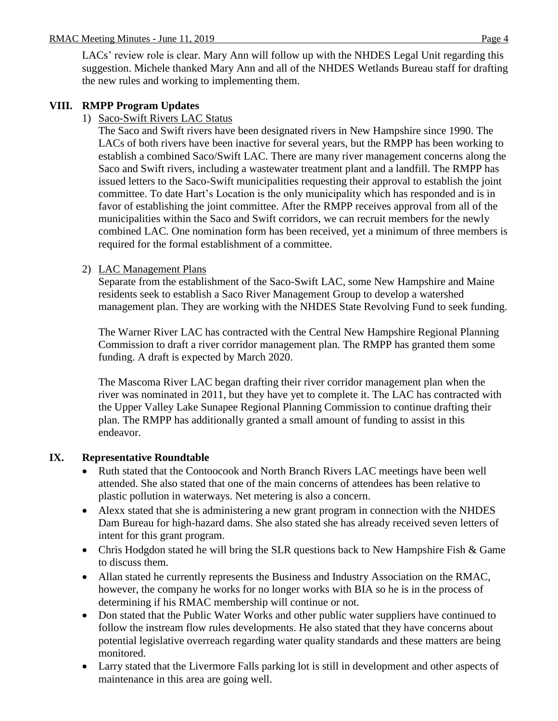LACs' review role is clear. Mary Ann will follow up with the NHDES Legal Unit regarding this suggestion. Michele thanked Mary Ann and all of the NHDES Wetlands Bureau staff for drafting the new rules and working to implementing them.

## **VIII. RMPP Program Updates**

1) Saco-Swift Rivers LAC Status

The Saco and Swift rivers have been designated rivers in New Hampshire since 1990. The LACs of both rivers have been inactive for several years, but the RMPP has been working to establish a combined Saco/Swift LAC. There are many river management concerns along the Saco and Swift rivers, including a wastewater treatment plant and a landfill. The RMPP has issued letters to the Saco-Swift municipalities requesting their approval to establish the joint committee. To date Hart's Location is the only municipality which has responded and is in favor of establishing the joint committee. After the RMPP receives approval from all of the municipalities within the Saco and Swift corridors, we can recruit members for the newly combined LAC. One nomination form has been received, yet a minimum of three members is required for the formal establishment of a committee.

## 2) LAC Management Plans

Separate from the establishment of the Saco-Swift LAC, some New Hampshire and Maine residents seek to establish a Saco River Management Group to develop a watershed management plan. They are working with the NHDES State Revolving Fund to seek funding.

The Warner River LAC has contracted with the Central New Hampshire Regional Planning Commission to draft a river corridor management plan. The RMPP has granted them some funding. A draft is expected by March 2020.

The Mascoma River LAC began drafting their river corridor management plan when the river was nominated in 2011, but they have yet to complete it. The LAC has contracted with the Upper Valley Lake Sunapee Regional Planning Commission to continue drafting their plan. The RMPP has additionally granted a small amount of funding to assist in this endeavor.

## **IX. Representative Roundtable**

- Ruth stated that the Contoocook and North Branch Rivers LAC meetings have been well attended. She also stated that one of the main concerns of attendees has been relative to plastic pollution in waterways. Net metering is also a concern.
- Alexx stated that she is administering a new grant program in connection with the NHDES Dam Bureau for high-hazard dams. She also stated she has already received seven letters of intent for this grant program.
- Chris Hodgdon stated he will bring the SLR questions back to New Hampshire Fish & Game to discuss them.
- Allan stated he currently represents the Business and Industry Association on the RMAC, however, the company he works for no longer works with BIA so he is in the process of determining if his RMAC membership will continue or not.
- Don stated that the Public Water Works and other public water suppliers have continued to follow the instream flow rules developments. He also stated that they have concerns about potential legislative overreach regarding water quality standards and these matters are being monitored.
- Larry stated that the Livermore Falls parking lot is still in development and other aspects of maintenance in this area are going well.